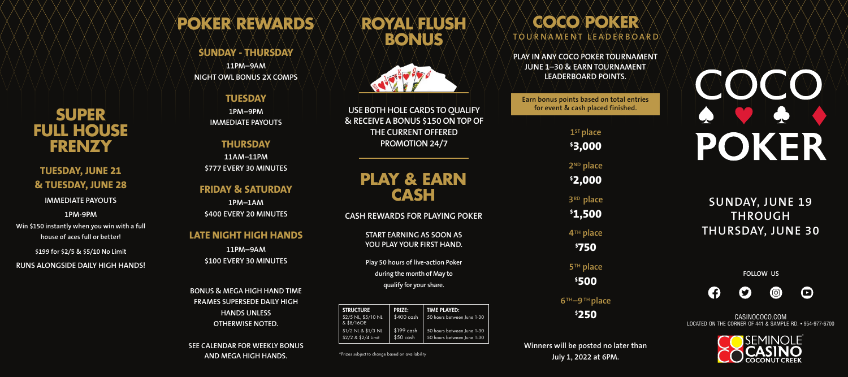CASINOCOCO.COM LOCATED ON THE CORNER OF 441 & SAMPLE RD. • 954-977-6700



**FOLLOW US**









## **SUNDAY, JUNE 19 THROUGH THURSDAY, JUNE 30**

**PLAY IN ANY COCO POKER TOURNAMENT JUNE 1–30 & EARN TOURNAMENT LEADERBOARD POINTS.** 

**Earn bonus points based on total entries for event & cash placed finished.**

## **COCO POKER TOURNAMENT LEADERBOARD**

**Winners will be posted no later than July 1, 2022 at 6PM.**

**1STplace \$ 3,000 2ND place \$ 2,000 3RD place \$ 1,500 4TH place \$ 750**

**5TH place \$ 500**

**6TH–9TH place \$ 250**

**START EARNING AS SOON AS YOU PLAY YOUR FIRST HAND.**

**Play 50 hours of live-action Poker during the month of May to qualify for your share.**

# **PLAY & EARN CASH**

**CASH REWARDS FOR PLAYING POKER**

**USE BOTH HOLE CARDS TO QUALIFY & RECEIVE A BONUS \$150 ON TOP OF THE CURRENT OFFERED PROMOTION 24/7**

# **ROYAL FLUSH BONUS**



\*Prizes subject to change based on availability

| <b>STRUCTURE</b><br>$$2/5$ NL, $$5/10$ NL<br>& \$8/16OE | <b>PRIZE:</b><br>$$400$ cash | <b>TIME PLAYED:</b><br>50 hours between June 1-30 |
|---------------------------------------------------------|------------------------------|---------------------------------------------------|
| $$1/2$ NL & $$1/3$ NL                                   | $$199$ cash                  | 50 hours between June 1-30                        |
| \$2/2 & \$2/4 Limit                                     | $$50$ cash                   | 50 hours between June 1-30                        |

# **POKER REWARDS**

#### **SUNDAY - THURSDAY**

**11PM–9AM NIGHT OWL BONUS 2X COMPS**

#### **TUESDAY**

**1PM–9PM IMMEDIATE PAYOUTS**

## **THURSDAY**

**11AM–11PM \$777 EVERY 30 MINUTES**

### **FRIDAY & SATURDAY**

**1PM–1AM \$400 EVERY 20 MINUTES**

### **LATE NIGHT HIGH HANDS**

**11PM–9AM \$100 EVERY 30 MINUTES**

**BONUS & MEGA HIGH HAND TIME FRAMES SUPERSEDE DAILY HIGH HANDS UNLESS OTHERWISE NOTED.** 

**SEE CALENDAR FOR WEEKLY BONUS AND MEGA HIGH HANDS.**

## **SUPER FULL HOUSE FRENZY**

**TUESDAY, JUNE 21 & TUESDAY, JUNE 28 IMMEDIATE PAYOUTS**

**1PM-9PM Win \$150 instantly when you win with a full house of aces full or better!**

**\$199 for \$2/5 & \$5/10 No Limit**

**RUNS ALONGSIDE DAILY HIGH HANDS!**